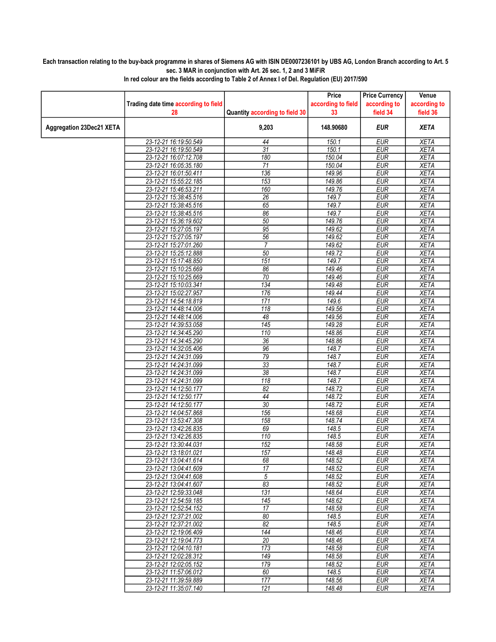## Each transaction relating to the buy-back programme in shares of Siemens AG with ISIN DE0007236101 by UBS AG, London Branch according to Art. 5 sec. 3 MAR in conjunction with Art. 26 sec. 1, 2 and 3 MiFiR

|                          |                                                |                                | Price              | <b>Price Currency</b>    | Venue                      |
|--------------------------|------------------------------------------------|--------------------------------|--------------------|--------------------------|----------------------------|
|                          | Trading date time according to field           |                                | according to field | according to             | according to               |
|                          | 28                                             | Quantity according to field 30 | 33                 | field 34                 | field 36                   |
| Aggregation 23Dec21 XETA |                                                | 9,203                          | 148.90680          | <b>EUR</b>               | <b>XETA</b>                |
|                          | 23-12-21 16:19:50.549                          | 44                             | 150.1              | <b>EUR</b>               | <b>XETA</b>                |
|                          | 23-12-21 16:19:50.549                          | 31                             | 150.1              | <b>EUR</b>               | <b>XETA</b>                |
|                          | 23-12-21 16:07:12.708                          | 180                            | 150.04             | <b>EUR</b>               | <b>XETA</b>                |
|                          | 23-12-21 16:05:35.180                          | $\overline{71}$                | 150.04             | <b>EUR</b>               | <b>XETA</b>                |
|                          | 23-12-21 16:01:50.411                          | 136                            | 149.96             | <b>EUR</b>               | <b>XETA</b>                |
|                          | 23-12-21 15:55:22.185                          | 153                            | 149.86             | <b>EUR</b>               | <b>XETA</b>                |
|                          | 23-12-21 15:46:53.211                          | 160                            | 149.76             | <b>EUR</b>               | <b>XETA</b>                |
|                          | 23-12-21 15:38:45.516                          | $\overline{26}$                | 149.7              | <b>EUR</b>               | <b>XETA</b>                |
|                          | 23-12-21 15:38:45.516                          | 65                             | 149.7              | <b>EUR</b>               | <b>XETA</b>                |
|                          | 23-12-21 15:38:45.516                          | 86                             | 149.7              | <b>EUR</b>               | <b>XETA</b>                |
|                          | 23-12-21 15:36:19.602                          | 50                             | 149.76             | <b>EUR</b>               | <b>XETA</b>                |
|                          | 23-12-21 15:27:05.197                          | 95                             | 149.62             | <b>EUR</b>               | <b>XETA</b>                |
|                          | 23-12-21 15:27:05.197                          | 56                             | 149.62             | <b>EUR</b>               | <b>XETA</b>                |
|                          | 23-12-21 15:27:01.260                          | $\overline{7}$                 | 149.62             | <b>EUR</b>               | <b>XETA</b>                |
|                          | 23-12-21 15:25:12.888                          | 50                             | 149.72             | <b>EUR</b>               | <b>XETA</b>                |
|                          | 23-12-21 15:17:48.850                          | 151                            | 149.7              | <b>EUR</b>               | <b>XETA</b>                |
|                          | 23-12-21 15:10:25.669                          | 86                             | 149.46             | <b>EUR</b>               | <b>XETA</b>                |
|                          | 23-12-21 15:10:25.669                          | $\overline{70}$                | 149.46             | <b>EUR</b>               | <b>XETA</b>                |
|                          | 23-12-21 15:10:03.341                          | 134                            | 149.48             | <b>EUR</b>               | <b>XETA</b>                |
|                          | 23-12-21 15:02:27.957                          | 176                            | 149.44             | EUR                      | <b>XETA</b>                |
|                          | 23-12-21 14:54:18.819                          | 171                            | 149.6              | <b>EUR</b>               | <b>XETA</b>                |
|                          | 23-12-21 14:48:14.006                          | 118                            | 149.56             | <b>EUR</b>               | <b>XETA</b>                |
|                          | 23-12-21 14:48:14.006                          | 48                             | 149.56             | <b>EUR</b>               | <b>XETA</b>                |
|                          | 23-12-21 14:39:53.058                          | 145                            | 149.28             | <b>EUR</b>               | <b>XETA</b>                |
|                          | 23-12-21 14:34:45.290                          | 110                            | 148.86             | <b>EUR</b>               | <b>XETA</b>                |
|                          | 23-12-21 14:34:45.290                          | $\overline{36}$                | 148.86             | <b>EUR</b>               | <b>XETA</b>                |
|                          | 23-12-21 14:32:05.406                          | 96                             | 148.7              | <b>EUR</b>               | <b>XETA</b>                |
|                          | 23-12-21 14:24:31.099                          | 79                             | 148.7              | <b>EUR</b>               | <b>XETA</b>                |
|                          | 23-12-21 14:24:31.099                          | $\overline{33}$                | 148.7              | <b>EUR</b>               | <b>XETA</b>                |
|                          | 23-12-21 14:24:31.099                          | 38                             | 148.7              | <b>EUR</b>               | <b>XETA</b>                |
|                          | 23-12-21 14:24:31.099                          | 118                            | 148.7              | <b>EUR</b>               | <b>XETA</b>                |
|                          | 23-12-21 14:12:50.177                          | 82                             | 148.72             | <b>EUR</b>               | <b>XETA</b>                |
|                          | 23-12-21 14:12:50.177<br>23-12-21 14:12:50.177 | 44<br>$\overline{30}$          | 148.72<br>148.72   | <b>EUR</b><br><b>EUR</b> | <b>XETA</b><br><b>XETA</b> |
|                          | 23-12-21 14:04:57.868                          | 156                            | 148.68             | <b>EUR</b>               | <b>XETA</b>                |
|                          | 23-12-21 13:53:47.308                          | 158                            | 148.74             | <b>EUR</b>               | <b>XETA</b>                |
|                          | 23-12-21 13:42:26.835                          | 69                             | 148.5              | <b>EUR</b>               | <b>XETA</b>                |
|                          | 23-12-21 13:42:26.835                          | 110                            | 148.5              | <b>EUR</b>               | <b>XETA</b>                |
|                          | 23-12-21 13:30:44.031                          | 152                            | 148.58             | <b>EUR</b>               | <b>XETA</b>                |
|                          | 23-12-21 13:18:01.021                          | 157                            | 148.48             | <b>EUR</b>               | <b>XETA</b>                |
|                          | 23-12-21 13:04:41.614                          | 68                             | 148.52             | EUR                      | XETA                       |
|                          | 23-12-21 13:04:41.609                          | 17                             | 148.52             | <b>EUR</b>               | <b>XETA</b>                |
|                          | 23-12-21 13:04:41.608                          | $\sqrt{5}$                     | 148.52             | <b>EUR</b>               | <b>XETA</b>                |
|                          | 23-12-21 13:04:41.607                          | 83                             | 148.52             | <b>EUR</b>               | <b>XETA</b>                |
|                          | 23-12-21 12:59:33.048                          | 131                            | 148.64             | <b>EUR</b>               | <b>XETA</b>                |
|                          | 23-12-21 12:54:59.185                          | 145                            | 148.62             | <b>EUR</b>               | <b>XETA</b>                |
|                          | 23-12-21 12:52:54.152                          | 17                             | 148.58             | <b>EUR</b>               | <b>XETA</b>                |
|                          | 23-12-21 12:37:21.002                          | 80                             | 148.5              | <b>EUR</b>               | <b>XETA</b>                |
|                          | 23-12-21 12:37:21.002                          | 82                             | 148.5              | <b>EUR</b>               | <b>XETA</b>                |
|                          | 23-12-21 12:19:06.409                          | 144                            | 148.46             | <b>EUR</b>               | <b>XETA</b>                |
|                          | 23-12-21 12:19:04.773                          | 20                             | 148.46             | <b>EUR</b>               | <b>XETA</b>                |
|                          | 23-12-21 12:04:10.181                          | 173                            | 148.58             | <b>EUR</b>               | <b>XETA</b>                |
|                          | 23-12-21 12:02:28.312                          | 149                            | 148.58             | <b>EUR</b>               | <b>XETA</b>                |
|                          | 23-12-21 12:02:05.152                          | 179                            | 148.52             | <b>EUR</b>               | XETA                       |
|                          | 23-12-21 11:57:06.012                          | 60                             | 148.5              | <b>EUR</b>               | <b>XETA</b>                |
|                          | 23-12-21 11:39:59.889                          | 177                            | 148.56             | <b>EUR</b>               | <b>XETA</b>                |
|                          | 23-12-21 11:35:07.140                          | 121                            | 148.48             | <b>EUR</b>               | <b>XETA</b>                |
|                          |                                                |                                |                    |                          |                            |

In red colour are the fields according to Table 2 of Annex I of Del. Regulation (EU) 2017/590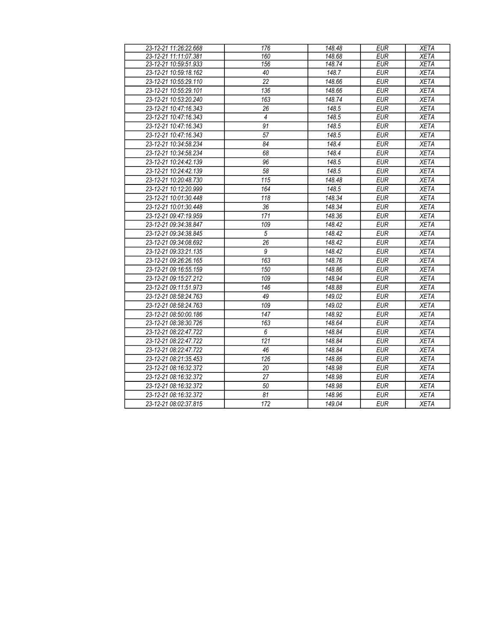| 23-12-21 11:26:22.668 | 176             | 148.48 | <b>EUR</b> | <b>XETA</b> |
|-----------------------|-----------------|--------|------------|-------------|
| 23-12-21 11:11:07.381 | 160             | 148.68 | <b>EUR</b> | <b>XETA</b> |
| 23-12-21 10:59:51.933 | 156             | 148.74 | <b>EUR</b> | <b>XETA</b> |
| 23-12-21 10:59:18.162 | 40              | 148.7  | <b>EUR</b> | <b>XETA</b> |
| 23-12-21 10:55:29.110 | $\overline{22}$ | 148.66 | <b>EUR</b> | <b>XETA</b> |
| 23-12-21 10:55:29.101 | 136             | 148.66 | <b>EUR</b> | <b>XETA</b> |
| 23-12-21 10:53:20.240 | 163             | 148.74 | <b>EUR</b> | <b>XETA</b> |
| 23-12-21 10:47:16.343 | 26              | 148.5  | <b>EUR</b> | <b>XETA</b> |
| 23-12-21 10:47:16.343 | $\overline{4}$  | 148.5  | <b>EUR</b> | <b>XETA</b> |
| 23-12-21 10:47:16.343 | $\overline{91}$ | 148.5  | <b>EUR</b> | <b>XETA</b> |
| 23-12-21 10:47:16.343 | 57              | 148.5  | <b>EUR</b> | <b>XETA</b> |
| 23-12-21 10:34:58.234 | 84              | 148.4  | <b>EUR</b> | <b>XETA</b> |
| 23-12-21 10:34:58.234 | 68              | 148.4  | <b>EUR</b> | <b>XETA</b> |
| 23-12-21 10:24:42.139 | 96              | 148.5  | <b>EUR</b> | <b>XETA</b> |
| 23-12-21 10:24:42.139 | 58              | 148.5  | <b>EUR</b> | <b>XETA</b> |
| 23-12-21 10:20:48.730 | 115             | 148.48 | <b>EUR</b> | <b>XETA</b> |
| 23-12-21 10:12:20.999 | 164             | 148.5  | <b>EUR</b> | <b>XETA</b> |
| 23-12-21 10:01:30.448 | 118             | 148.34 | <b>EUR</b> | <b>XETA</b> |
| 23-12-21 10:01:30.448 | 36              | 148.34 | <b>EUR</b> | <b>XETA</b> |
| 23-12-21 09:47:19.959 | 171             | 148.36 | <b>EUR</b> | <b>XETA</b> |
| 23-12-21 09:34:38.847 | 109             | 148.42 | <b>EUR</b> | <b>XETA</b> |
| 23-12-21 09:34:38.845 | $\sqrt{5}$      | 148.42 | <b>EUR</b> | <b>XETA</b> |
| 23-12-21 09:34:08.692 | $\overline{26}$ | 148.42 | <b>EUR</b> | <b>XETA</b> |
| 23-12-21 09:33:21.135 | $\overline{9}$  | 148.42 | <b>EUR</b> | <b>XETA</b> |
| 23-12-21 09:26:26.165 | 163             | 148.76 | <b>EUR</b> | <b>XETA</b> |
| 23-12-21 09:16:55.159 | 150             | 148.86 | <b>EUR</b> | <b>XETA</b> |
| 23-12-21 09:15:27.212 | 109             | 148.94 | <b>EUR</b> | <b>XETA</b> |
| 23-12-21 09:11:51.973 | 146             | 148.88 | <b>EUR</b> | <b>XETA</b> |
| 23-12-21 08:58:24.763 | 49              | 149.02 | <b>EUR</b> | <b>XETA</b> |
| 23-12-21 08:58:24.763 | 109             | 149.02 | <b>EUR</b> | <b>XETA</b> |
| 23-12-21 08:50:00.186 | 147             | 148.92 | <b>EUR</b> | <b>XETA</b> |
| 23-12-21 08:38:30.726 | 163             | 148.64 | <b>EUR</b> | <b>XETA</b> |
| 23-12-21 08:22:47.722 | 6               | 148.84 | <b>EUR</b> | <b>XETA</b> |
| 23-12-21 08:22:47.722 | 121             | 148.84 | <b>EUR</b> | <b>XETA</b> |
| 23-12-21 08:22:47.722 | 46              | 148.84 | <b>EUR</b> | <b>XETA</b> |
| 23-12-21 08:21:35.453 | 126             | 148.86 | <b>EUR</b> | <b>XETA</b> |
| 23-12-21 08:16:32.372 | 20              | 148.98 | <b>EUR</b> | <b>XETA</b> |
| 23-12-21 08:16:32.372 | 27              | 148.98 | <b>EUR</b> | <b>XETA</b> |
| 23-12-21 08:16:32.372 | 50              | 148.98 | <b>EUR</b> | <b>XETA</b> |
| 23-12-21 08:16:32.372 | 81              | 148.96 | <b>EUR</b> | <b>XETA</b> |
| 23-12-21 08:02:37.815 | 172             | 149.04 | <b>EUR</b> | <b>XETA</b> |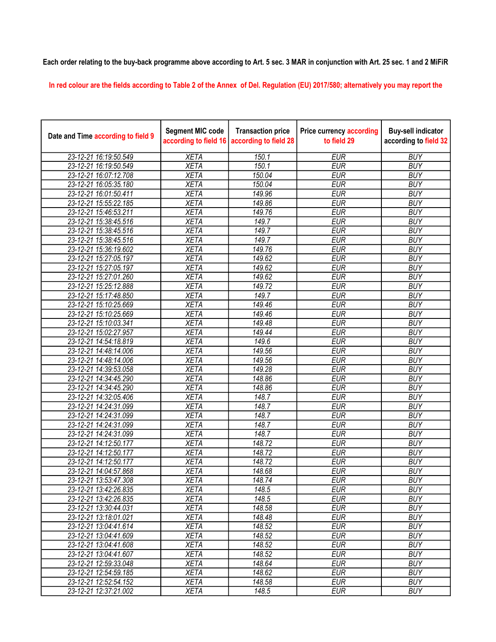## Each order relating to the buy-back programme above according to Art. 5 sec. 3 MAR in conjunction with Art. 25 sec. 1 and 2 MiFiR

In red colour are the fields according to Table 2 of the Annex of Del. Regulation (EU) 2017/580; alternatively you may report the

| Date and Time according to field 9 | <b>Segment MIC code</b><br>according to field 16 | <b>Transaction price</b><br>according to field 28 | <b>Price currency according</b><br>to field 29 | <b>Buy-sell indicator</b><br>according to field 32 |
|------------------------------------|--------------------------------------------------|---------------------------------------------------|------------------------------------------------|----------------------------------------------------|
| 23-12-21 16:19:50.549              | <b>XETA</b>                                      | 150.1                                             | <b>EUR</b>                                     | <b>BUY</b>                                         |
| 23-12-21 16:19:50.549              | <b>XETA</b>                                      | 150.1                                             | <b>EUR</b>                                     | <b>BUY</b>                                         |
| 23-12-21 16:07:12.708              | <b>XETA</b>                                      | 150.04                                            | <b>EUR</b>                                     | <b>BUY</b>                                         |
| 23-12-21 16:05:35.180              | <b>XETA</b>                                      | 150.04                                            | <b>EUR</b>                                     | <b>BUY</b>                                         |
| 23-12-21 16:01:50.411              | <b>XETA</b>                                      | 149.96                                            | <b>EUR</b>                                     | <b>BUY</b>                                         |
| 23-12-21 15:55:22.185              | <b>XETA</b>                                      | 149.86                                            | <b>EUR</b>                                     | <b>BUY</b>                                         |
| 23-12-21 15:46:53.211              | <b>XETA</b>                                      | 149.76                                            | <b>EUR</b>                                     | <b>BUY</b>                                         |
| 23-12-21 15:38:45.516              | <b>XETA</b>                                      | 149.7                                             | <b>EUR</b>                                     | <b>BUY</b>                                         |
| 23-12-21 15:38:45.516              | <b>XETA</b>                                      | 149.7                                             | <b>EUR</b>                                     | <b>BUY</b>                                         |
| 23-12-21 15:38:45.516              | <b>XETA</b>                                      | 149.7                                             | <b>EUR</b>                                     | <b>BUY</b>                                         |
| 23-12-21 15:36:19.602              | <b>XETA</b>                                      | 149.76                                            | <b>EUR</b>                                     | <b>BUY</b>                                         |
| 23-12-21 15:27:05.197              | <b>XETA</b>                                      | 149.62                                            | <b>EUR</b>                                     | <b>BUY</b>                                         |
| 23-12-21 15:27:05.197              | <b>XETA</b>                                      | 149.62                                            | <b>EUR</b>                                     | <b>BUY</b>                                         |
| 23-12-21 15:27:01.260              | <b>XETA</b>                                      | 149.62                                            | <b>EUR</b>                                     | <b>BUY</b>                                         |
| 23-12-21 15:25:12.888              | <b>XETA</b>                                      | 149.72                                            | <b>EUR</b>                                     | <b>BUY</b>                                         |
| 23-12-21 15:17:48.850              | <b>XETA</b>                                      | 149.7                                             | <b>EUR</b>                                     | <b>BUY</b>                                         |
| 23-12-21 15:10:25.669              | <b>XETA</b>                                      | 149.46                                            | <b>EUR</b>                                     | <b>BUY</b>                                         |
| 23-12-21 15:10:25.669              | <b>XETA</b>                                      | 149.46                                            | <b>EUR</b>                                     | <b>BUY</b>                                         |
| 23-12-21 15:10:03.341              | <b>XETA</b>                                      | 149.48                                            | <b>EUR</b>                                     | <b>BUY</b>                                         |
| 23-12-21 15:02:27.957              | <b>XETA</b>                                      | 149.44                                            | <b>EUR</b>                                     | <b>BUY</b>                                         |
| 23-12-21 14:54:18.819              | <b>XETA</b>                                      | 149.6                                             | <b>EUR</b>                                     | <b>BUY</b>                                         |
| 23-12-21 14:48:14.006              | <b>XETA</b>                                      | 149.56                                            | <b>EUR</b>                                     | <b>BUY</b>                                         |
| 23-12-21 14:48:14.006              | <b>XETA</b>                                      | 149.56                                            | <b>EUR</b>                                     | <b>BUY</b>                                         |
| 23-12-21 14:39:53.058              | <b>XETA</b>                                      | 149.28                                            | <b>EUR</b>                                     | <b>BUY</b>                                         |
| 23-12-21 14:34:45.290              | <b>XETA</b>                                      | 148.86                                            | <b>EUR</b>                                     | <b>BUY</b>                                         |
| 23-12-21 14:34:45.290              | <b>XETA</b>                                      | 148.86                                            | <b>EUR</b>                                     | <b>BUY</b>                                         |
| 23-12-21 14:32:05.406              | <b>XETA</b>                                      | 148.7                                             | <b>EUR</b>                                     | <b>BUY</b>                                         |
| 23-12-21 14:24:31.099              | <b>XETA</b>                                      | 148.7                                             | <b>EUR</b>                                     | <b>BUY</b>                                         |
| 23-12-21 14:24:31.099              | <b>XETA</b>                                      | 148.7                                             | <b>EUR</b>                                     | <b>BUY</b>                                         |
| 23-12-21 14:24:31.099              | <b>XETA</b>                                      | 148.7                                             | <b>EUR</b>                                     | <b>BUY</b>                                         |
| 23-12-21 14:24:31.099              | <b>XETA</b>                                      | 148.7                                             | <b>EUR</b>                                     | <b>BUY</b>                                         |
| 23-12-21 14:12:50.177              | <b>XETA</b>                                      | 148.72                                            | <b>EUR</b>                                     | <b>BUY</b>                                         |
| 23-12-21 14:12:50.177              | <b>XETA</b>                                      | 148.72                                            | <b>EUR</b>                                     | <b>BUY</b>                                         |
| 23-12-21 14:12:50.177              | <b>XETA</b>                                      | 148.72                                            | <b>EUR</b>                                     | <b>BUY</b>                                         |
| 23-12-21 14:04:57.868              | <b>XETA</b>                                      | 148.68                                            | <b>EUR</b>                                     | <b>BUY</b>                                         |
| 23-12-21 13:53:47.308              | <b>XETA</b>                                      | 148.74                                            | <b>EUR</b>                                     | <b>BUY</b>                                         |
| 23-12-21 13:42:26.835              | XETA                                             | 148.5                                             | EUR                                            | <b>BUY</b>                                         |
| 23-12-21 13:42:26.835              | <b>XETA</b>                                      | 148.5                                             | <b>EUR</b>                                     | <b>BUY</b>                                         |
| 23-12-21 13:30:44.031              | <b>XETA</b>                                      | 148.58                                            | <b>EUR</b>                                     | <b>BUY</b>                                         |
| 23-12-21 13:18:01.021              | <b>XETA</b>                                      | 148.48                                            | <b>EUR</b>                                     | <b>BUY</b>                                         |
| 23-12-21 13:04:41.614              | <b>XETA</b>                                      | 148.52                                            | <b>EUR</b>                                     | <b>BUY</b>                                         |
| 23-12-21 13:04:41.609              | <b>XETA</b>                                      | 148.52                                            | <b>EUR</b>                                     | <b>BUY</b>                                         |
| 23-12-21 13:04:41.608              | <b>XETA</b>                                      | 148.52                                            | <b>EUR</b>                                     | <b>BUY</b>                                         |
| 23-12-21 13:04:41.607              | <b>XETA</b>                                      | 148.52                                            | <b>EUR</b>                                     | <b>BUY</b>                                         |
| 23-12-21 12:59:33.048              | <b>XETA</b>                                      | 148.64                                            | <b>EUR</b>                                     | <b>BUY</b>                                         |
| 23-12-21 12:54:59.185              | <b>XETA</b>                                      | $\frac{1}{148.62}$                                | <b>EUR</b>                                     | <b>BUY</b>                                         |
| 23-12-21 12:52:54.152              | <b>XETA</b>                                      | 148.58                                            | <b>EUR</b>                                     | <b>BUY</b>                                         |
| 23-12-21 12:37:21.002              | <b>XETA</b>                                      | 148.5                                             | <b>EUR</b>                                     | <b>BUY</b>                                         |